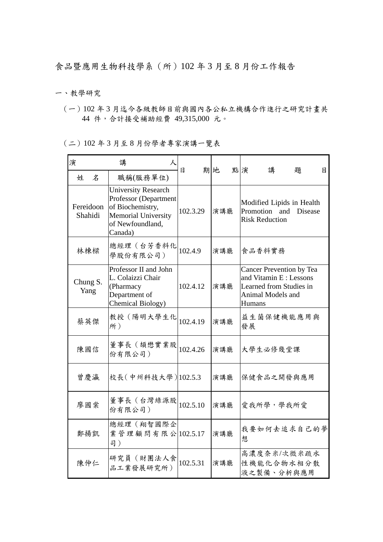食品暨應用生物科技學系(所)102 年 3 月至 8 月份工作報告

一、教學研究

(一)102 年 3 月迄今各級教師目前與國內各公私立機構合作進行之研究計畫共 44 件,合計接受補助經費 49,315,000 元。

(二)102 年 3 月至 8 月份學者專家演講一覽表

| 演                    | 講<br>人                                                                                                                               | В        | 期地  | 點演<br>講<br>題                                                                                                               |  |  |  |
|----------------------|--------------------------------------------------------------------------------------------------------------------------------------|----------|-----|----------------------------------------------------------------------------------------------------------------------------|--|--|--|
| 姓<br>$\mathcal{Z}$   | 職稱(服務單位)                                                                                                                             |          |     | 目                                                                                                                          |  |  |  |
| Fereidoon<br>Shahidi | <b>University Research</b><br>Professor (Department<br>of Biochemistry,<br><b>Memorial University</b><br>of Newfoundland,<br>Canada) | 102.3.29 | 演講廳 | Modified Lipids in Health<br>Promotion and<br>Disease<br><b>Risk Reduction</b>                                             |  |  |  |
| 林棟樑                  | 總經理(台芳香料化<br>學股份有限公司)                                                                                                                | 102.4.9  | 演講廳 | 食品香料實務                                                                                                                     |  |  |  |
| Chung S.<br>Yang     | Professor II and John<br>L. Colaizzi Chair<br>(Pharmacy<br>Department of<br>Chemical Biology)                                        | 102.4.12 | 演講廳 | <b>Cancer Prevention by Tea</b><br>and Vitamin E: Lessons<br>Learned from Studies in<br>Animal Models and<br><b>Humans</b> |  |  |  |
| 蔡英傑                  | 教授(陽明大學生化<br>所)                                                                                                                      | 102.4.19 | 演講廳 | 益生菌保健機能應用與<br>發展                                                                                                           |  |  |  |
| 陳國信                  | 董事長 (頡懋實業股<br>份有限公司)                                                                                                                 | 102.4.26 | 演講廳 | 大學生必修幾堂課                                                                                                                   |  |  |  |
| 曾慶瀛                  | 校長(中州科技大學) 102.5.3                                                                                                                   |          | 演講廳 | 保健食品之開發與應用                                                                                                                 |  |  |  |
| 廖國棠                  | 董事長 (台灣綠源股<br>份有限公司)                                                                                                                 | 102.5.10 | 演講廳 | 愛我所學,學我所愛                                                                                                                  |  |  |  |
| 鄭揚凱                  | 總經理(翔智國際企<br>業管理顧問有限公 102.5.17<br>司)                                                                                                 |          | 演講廳 | 我要如何去追求自己的夢<br>想                                                                                                           |  |  |  |
| 陳仲仁                  | 研究員(財團法人食<br>品工業發展研究所)                                                                                                               | 102.5.31 | 演講廳 | 高濃度奈米/次微米疏水<br>性機能化合物水相分散<br>液之製備、分析與應用                                                                                    |  |  |  |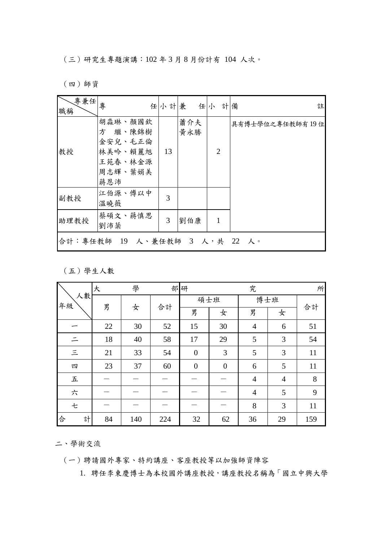(三)研究生專題演講:102 年 3 月 8 月份計有 104 人次。

(四)師資

| 專兼任<br>職稱                     | 專                                                                     |    | 任小計兼 任小 計備 |                | 註               |  |  |
|-------------------------------|-----------------------------------------------------------------------|----|------------|----------------|-----------------|--|--|
| 教授                            | 胡淼琳、顏國欽<br>方 繼、陳錦樹<br>金安兒、毛正倫<br>林美吟、賴麗旭<br>王苑春、林金源<br>周志輝、葉娟美<br>蔣恩沛 | 13 | 蕭介夫<br>黄永勝 | $\overline{2}$ | 具有博士學位之專任教師有19位 |  |  |
| 副教授                           | 江伯源、傅以中<br>溫曉薇                                                        | 3  |            |                |                 |  |  |
| 助理教授                          | 蔡碩文、蔣慎思<br>劉沛棻                                                        | 3  | 劉伯康        | 1              |                 |  |  |
| 合計:專任教師 19 人、兼任教師 3 人,共 22 人。 |                                                                       |    |            |                |                 |  |  |

(五)學生人數

| 人數<br>年級                   | 學<br>大 |     |     | 部研               |              | 究              |                | 所   |
|----------------------------|--------|-----|-----|------------------|--------------|----------------|----------------|-----|
|                            | 男      | 女   | 合計  | 碩士班              |              | 博士班            |                |     |
|                            |        |     |     | 男                | 女            | 男              | 女              | 合計  |
|                            | 22     | 30  | 52  | 15               | 30           | $\overline{4}$ | 6              | 51  |
|                            | 18     | 40  | 58  | 17               | 29           | 5              | 3              | 54  |
| $\leq$                     | 21     | 33  | 54  | $\boldsymbol{0}$ | 3            | 5              | 3              | 11  |
| 四                          | 23     | 37  | 60  | $\boldsymbol{0}$ | $\mathbf{0}$ | 6              | 5              | 11  |
| $\ensuremath{\mathcal{L}}$ |        |     |     |                  |              | $\overline{4}$ | $\overline{4}$ | 8   |
| 六                          |        |     |     |                  |              | $\overline{4}$ | 5              | 9   |
| 七                          |        |     |     |                  |              | 8              | 3              | 11  |
| 合<br>計                     | 84     | 140 | 224 | 32               | 62           | 36             | 29             | 159 |

二、學術交流

(一)聘請國外專家、特約講座、客座教授等以加強師資陣容

1. 聘任李東慶博士為本校國外講座教授,講座教授名稱為「國立中興大學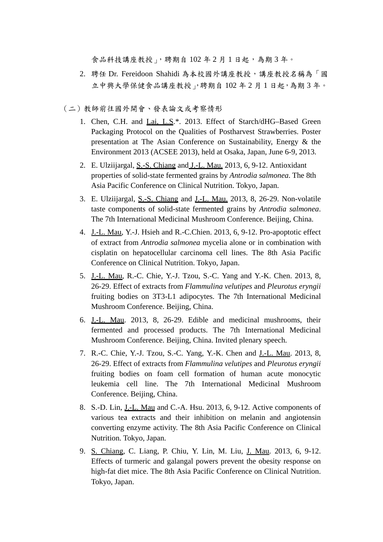食品科技講座教授」,聘期自102年2月1日起,為期3年。

2. 聘任 Dr. Fereidoon Shahidi 為本校國外講座教授,講座教授名稱為「國 立中興大學保健食品講座教授」,聘期自 102 年 2 月 1 日起,為期 3 年。

(二)教師前往國外開會、發表論文或考察情形

- 1. Chen, C.H. and Lai, L.S.\*. 2013. Effect of Starch/dHG–Based Green Packaging Protocol on the Qualities of Postharvest Strawberries. Poster presentation at The Asian Conference on Sustainability, Energy & the Environment 2013 (ACSEE 2013), held at Osaka, Japan, June 6-9, 2013.
- 2. E. Ulziijargal, S.-S. Chiang and J.-L. Mau. 2013, 6, 9-12. Antioxidant properties of solid-state fermented grains by *Antrodia salmonea*. The 8th Asia Pacific Conference on Clinical Nutrition. Tokyo, Japan.
- 3. E. Ulziijargal, S.-S. Chiang and J.-L. Mau. 2013, 8, 26-29. Non-volatile taste components of solid-state fermented grains by *Antrodia salmonea*. The 7th International Medicinal Mushroom Conference. Beijing, China.
- 4. J.-L. Mau, Y.-J. Hsieh and R.-C.Chien. 2013, 6, 9-12. Pro-apoptotic effect of extract from *Antrodia salmonea* mycelia alone or in combination with cisplatin on hepatocellular carcinoma cell lines. The 8th Asia Pacific Conference on Clinical Nutrition. Tokyo, Japan.
- 5. J.-L. Mau, R.-C. Chie, Y.-J. Tzou, S.-C. Yang and Y.-K. Chen. 2013, 8, 26-29. Effect of extracts from *Flammulina velutipes* and *Pleurotus eryngii* fruiting bodies on 3T3-L1 adipocytes. The 7th International Medicinal Mushroom Conference. Beijing, China.
- 6. J.-L. Mau. 2013, 8, 26-29. Edible and medicinal mushrooms, their fermented and processed products. The 7th International Medicinal Mushroom Conference. Beijing, China. Invited plenary speech.
- 7. R.-C. Chie, Y.-J. Tzou, S.-C. Yang, Y.-K. Chen and J.-L. Mau. 2013, 8, 26-29. Effect of extracts from *Flammulina velutipes* and *Pleurotus eryngii* fruiting bodies on foam cell formation of human acute monocytic leukemia cell line. The 7th International Medicinal Mushroom Conference. Beijing, China.
- 8. S.-D. Lin, J.-L. Mau and C.-A. Hsu. 2013, 6, 9-12. Active components of various tea extracts and their inhibition on melanin and angiotensin converting enzyme activity. The 8th Asia Pacific Conference on Clinical Nutrition. Tokyo, Japan.
- 9. S. Chiang, C. Liang, P. Chiu, Y. Lin, M. Liu, J. Mau. 2013, 6, 9-12. Effects of turmeric and galangal powers prevent the obesity response on high-fat diet mice. The 8th Asia Pacific Conference on Clinical Nutrition. Tokyo, Japan.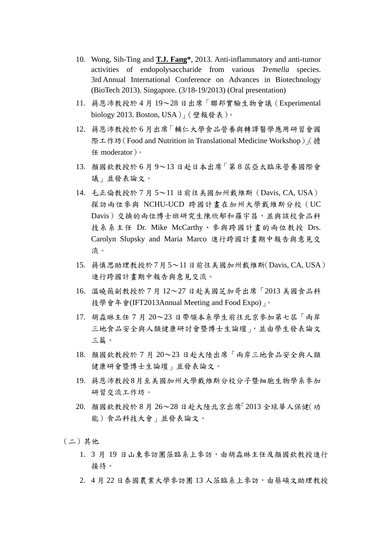- 10. Wong, Sih-Ting and **T.J. Fang\***, 2013. Anti-inflammatory and anti-tumor activities of endopolysaccharide from various *Tremella* species. 3rd Annual International Conference on Advances in Biotechnology (BioTech 2013). Singapore. (3/18-19/2013) (Oral presentation)
- 11. 蔣恩沛教授於 4 月 19~28 日出席「聯邦實驗生物會議(Experimental biology 2013. Boston, USA)」(壁報發表)。
- 12. 蔣恩沛教授於 6 月出席「輔仁大學食品營養與轉譯醫學應用研習會國 際工作坊(Food and Nutrition in Translational Medicine Workshop)」(擔 任 moderator)。
- 13. 顏國欽教授於 6 月 9~13 日赴日本出席「第 8 屆亞太臨床營養國際會 議」並發表論文。
- 14. 毛正倫教授於 7 月 5~11 日前往美國加州戴維斯(Davis, CA, USA) 探訪兩位參與 NCHU-UCD 跨國計畫在加州大學戴維斯分校(UC Davis)交換的兩位博士班研究生陳欣郁和羅宇昌,並與該校食品科 技系系主任 Dr. Mike McCarthy、參與跨國計畫的兩位教授 Drs. Carolyn Slupsky and Maria Marco 進行跨國計畫期中報告與意見交 流。
- 15. 蔣慎思助理教授於7月5~11日前往美國加州戴維斯(Davis, CA, USA) 進行跨國計畫期中報告與意見交流。
- 16. 溫曉薇副教授於 7 月 12~27 日赴美國芝加哥出席「2013 美國食品科 技學會年會(IFT2013Annual Meeting and Food Expo)」。
- 17. 胡淼琳主任 7 月 20~23 日帶領本系學生前往北京參加第七屆「兩岸 三地食品安全與人類健康研討會暨博士生論壇」,並由學生發表論文 三篇。
- 18. 顏國欽教授於 7 月 20~23 日赴大陸出席「兩岸三地食品安全與人類 健康研會暨博士生論壇」並發表論文。
- 19. 蔣恩沛教授8月至美國加州大學戴維斯分校分子暨細胞生物學系參加 研習交流工作坊。
- 20. 顏國欽教授於 8 月 26~28 日赴大陸北京出席「2013 全球華人保健(功 能)食品科技大會」並發表論文。
- (二)其他
	- 1. 3 月 19 日山東參訪團蒞臨系上參訪,由胡淼琳主任及顏國欽教授進行 接待。
	- 2. 4月22日泰國農業大學參訪團13人蒞臨系上參訪,由蔡碩文助理教授